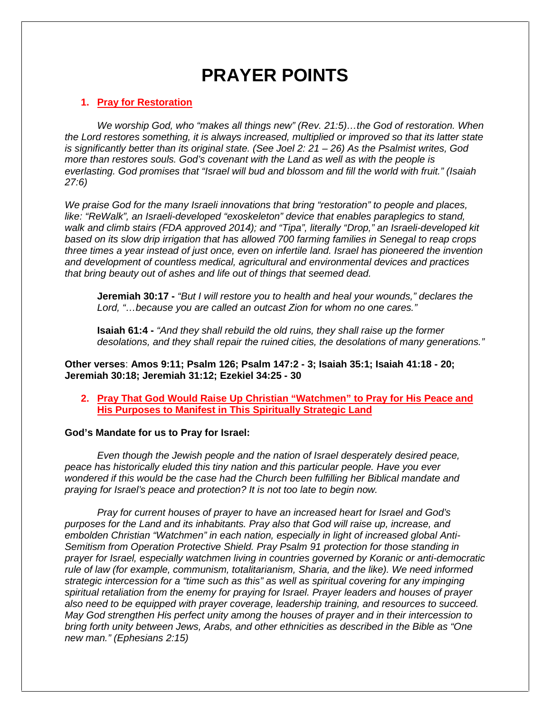# **PRAYER POINTS**

#### **1. Pray for Restoration**

*We worship God, who "makes all things new" (Rev. 21:5)…the God of restoration. When the Lord restores something, it is always increased, multiplied or improved so that its latter state is significantly better than its original state. (See Joel 2: 21 – 26) As the Psalmist writes, God more than restores souls. God's covenant with the Land as well as with the people is everlasting. God promises that "Israel will bud and blossom and fill the world with fruit." (Isaiah 27:6)*

*We praise God for the many Israeli innovations that bring "restoration" to people and places, like: "ReWalk", an Israeli-developed "exoskeleton" device that enables paraplegics to stand, walk and climb stairs (FDA approved 2014); and "Tipa", literally "Drop," an Israeli-developed kit based on its slow drip irrigation that has allowed 700 farming families in Senegal to reap crops three times a year instead of just once, even on infertile land. Israel has pioneered the invention and development of countless medical, agricultural and environmental devices and practices that bring beauty out of ashes and life out of things that seemed dead.*

**Jeremiah 30:17 -** *"But I will restore you to health and heal your wounds," declares the Lord, "…because you are called an outcast Zion for whom no one cares."*

**Isaiah 61:4 -** *"And they shall rebuild the old ruins, they shall raise up the former desolations, and they shall repair the ruined cities, the desolations of many generations."*

**Other verses**: **Amos 9:11; Psalm 126; Psalm 147:2 - 3; Isaiah 35:1; Isaiah 41:18 - 20; Jeremiah 30:18; Jeremiah 31:12; Ezekiel 34:25 - 30**

**2. Pray That God Would Raise Up Christian "Watchmen" to Pray for His Peace and His Purposes to Manifest in This Spiritually Strategic Land**

#### **God's Mandate for us to Pray for Israel:**

*Even though the Jewish people and the nation of Israel desperately desired peace, peace has historically eluded this tiny nation and this particular people. Have you ever wondered if this would be the case had the Church been fulfilling her Biblical mandate and praying for Israel's peace and protection? It is not too late to begin now.*

*Pray for current houses of prayer to have an increased heart for Israel and God's purposes for the Land and its inhabitants. Pray also that God will raise up, increase, and embolden Christian "Watchmen" in each nation, especially in light of increased global Anti- Semitism from Operation Protective Shield. Pray Psalm 91 protection for those standing in prayer for Israel, especially watchmen living in countries governed by Koranic or anti-democratic rule of law (for example, communism, totalitarianism, Sharia, and the like). We need informed strategic intercession for a "time such as this" as well as spiritual covering for any impinging spiritual retaliation from the enemy for praying for Israel. Prayer leaders and houses of prayer also need to be equipped with prayer coverage, leadership training, and resources to succeed. May God strengthen His perfect unity among the houses of prayer and in their intercession to bring forth unity between Jews, Arabs, and other ethnicities as described in the Bible as "One new man." (Ephesians 2:15)*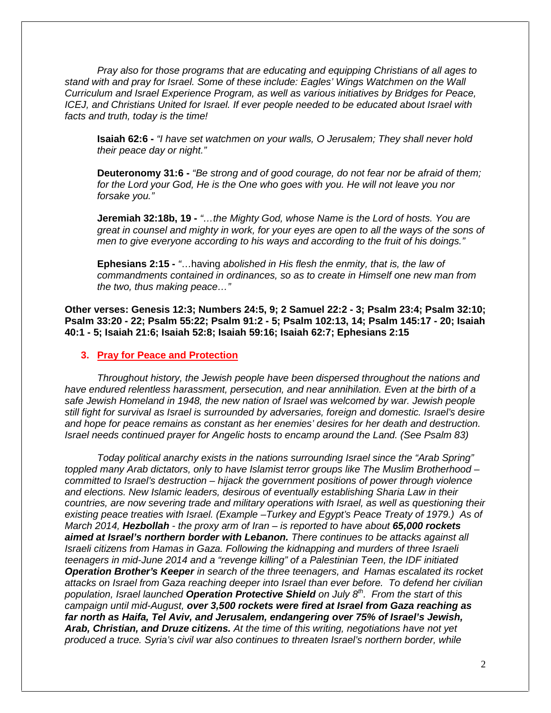*Pray also for those programs that are educating and equipping Christians of all ages to stand with and pray for Israel. Some of these include: Eagles' Wings Watchmen on the Wall Curriculum and Israel Experience Program, as well as various initiatives by Bridges for Peace, ICEJ, and Christians United for Israel. If ever people needed to be educated about Israel with facts and truth, today is the time!*

**Isaiah 62:6 -** *"I have set watchmen on your walls, O Jerusalem; They shall never hold their peace day or night."*

**Deuteronomy 31:6 -** *"Be strong and of good courage, do not fear nor be afraid of them; for the Lord your God, He is the One who goes with you. He will not leave you nor forsake you."*

**Jeremiah 32:18b, 19 -** *"…the Mighty God, whose Name is the Lord of hosts. You are great in counsel and mighty in work, for your eyes are open to all the ways of the sons of men to give everyone according to his ways and according to the fruit of his doings."*

**Ephesians 2:15 -** *"*…having *abolished in His flesh the enmity, that is, the law of commandments contained in ordinances, so as to create in Himself one new man from the two, thus making peace…"*

**Other verses: Genesis 12:3; Numbers 24:5, 9; 2 Samuel 22:2 - 3; Psalm 23:4; Psalm 32:10; Psalm 33:20 - 22; Psalm 55:22; Psalm 91:2 - 5; Psalm 102:13, 14; Psalm 145:17 - 20; Isaiah 40:1 - 5; Isaiah 21:6; Isaiah 52:8; Isaiah 59:16; Isaiah 62:7; Ephesians 2:15**

#### **3. Pray for Peace and Protection**

*Throughout history, the Jewish people have been dispersed throughout the nations and have endured relentless harassment, persecution, and near annihilation. Even at the birth of a safe Jewish Homeland in 1948, the new nation of Israel was welcomed by war. Jewish people still fight for survival as Israel is surrounded by adversaries, foreign and domestic. Israel's desire and hope for peace remains as constant as her enemies' desires for her death and destruction. Israel needs continued prayer for Angelic hosts to encamp around the Land. (See Psalm 83)*

*Today political anarchy exists in the nations surrounding Israel since the "Arab Spring" toppled many Arab dictators, only to have Islamist terror groups like The Muslim Brotherhood – committed to Israel's destruction – hijack the government positions of power through violence and elections. New Islamic leaders, desirous of eventually establishing Sharia Law in their countries, are now severing trade and military operations with Israel, as well as questioning their existing peace treaties with Israel. (Example –Turkey and Egypt's Peace Treaty of 1979.) As of March 2014, Hezbollah - the proxy arm of Iran – is reported to have about 65,000 rockets aimed at Israel's northern border with Lebanon. There continues to be attacks against all Israeli citizens from Hamas in Gaza. Following the kidnapping and murders of three Israeli teenagers in mid-June 2014 and a "revenge killing" of a Palestinian Teen, the IDF initiated Operation Brother's Keeper in search of the three teenagers, and Hamas escalated its rocket attacks on Israel from Gaza reaching deeper into Israel than ever before. To defend her civilian population, Israel launched Operation Protective Shield on July 8th. From the start of this campaign until mid-August, over 3,500 rockets were fired at Israel from Gaza reaching as far north as Haifa, Tel Aviv, and Jerusalem, endangering over 75% of Israel's Jewish, Arab, Christian, and Druze citizens. At the time of this writing, negotiations have not yet produced a truce. Syria's civil war also continues to threaten Israel's northern border, while*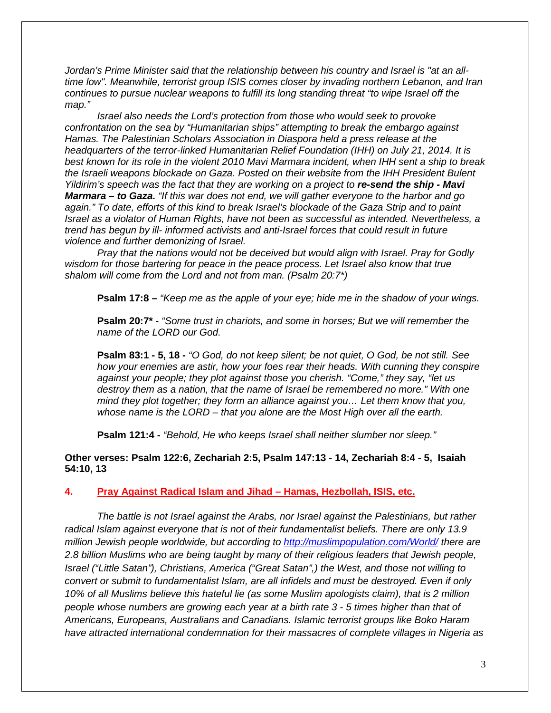*Jordan's Prime Minister said that the relationship between his country and Israel is "at an alltime low". Meanwhile, terrorist group ISIS comes closer by invading northern Lebanon, and Iran continues to pursue nuclear weapons to fulfill its long standing threat "to wipe Israel off the map."*

*Israel also needs the Lord's protection from those who would seek to provoke confrontation on the sea by "Humanitarian ships" attempting to break the embargo against Hamas. The Palestinian Scholars Association in Diaspora held a press release at the headquarters of the terror-linked Humanitarian Relief Foundation (IHH) on July 21, 2014. It is best known for its role in the violent 2010 Mavi Marmara incident, when IHH sent a ship to break the Israeli weapons blockade on Gaza. Posted on their website from the IHH President Bulent Yildirim's speech was the fact that they are working on a project to re-send the ship - Mavi Marmara – to Gaza. "If this war does not end, we will gather everyone to the harbor and go again." To date, efforts of this kind to break Israel's blockade of the Gaza Strip and to paint Israel as a violator of Human Rights, have not been as successful as intended. Nevertheless, a trend has begun by ill- informed activists and anti-Israel forces that could result in future violence and further demonizing of Israel.*

*Pray that the nations would not be deceived but would align with Israel. Pray for Godly wisdom for those bartering for peace in the peace process. Let Israel also know that true shalom will come from the Lord and not from man. (Psalm 20:7\*)*

**Psalm 17:8 –** *"Keep me as the apple of your eye; hide me in the shadow of your wings.*

**Psalm 20:7\* -** *"Some trust in chariots, and some in horses; But we will remember the name of the LORD our God.*

**Psalm 83:1 - 5, 18 -** *"O God, do not keep silent; be not quiet, O God, be not still. See how your enemies are astir, how your foes rear their heads. With cunning they conspire against your people; they plot against those you cherish. "Come," they say, "let us destroy them as a nation, that the name of Israel be remembered no more." With one mind they plot together; they form an alliance against you… Let them know that you, whose name is the LORD – that you alone are the Most High over all the earth.*

**Psalm 121:4 -** *"Behold, He who keeps Israel shall neither slumber nor sleep."*

**Other verses: Psalm 122:6, Zechariah 2:5, Psalm 147:13 - 14, Zechariah 8:4 - 5, Isaiah 54:10, 13**

**4. Pray Against Radical Islam and Jihad – Hamas, Hezbollah, ISIS, etc.**

*The battle is not Israel against the Arabs, nor Israel against the Palestinians, but rather radical Islam against everyone that is not of their fundamentalist beliefs. There are only 13.9 million Jewish people worldwide, but according to http://muslimpopulation.com/World/ there are 2.8 billion Muslims who are being taught by many of their religious leaders that Jewish people, Israel ("Little Satan"), Christians, America ("Great Satan",) the West, and those not willing to convert or submit to fundamentalist Islam, are all infidels and must be destroyed. Even if only 10% of all Muslims believe this hateful lie (as some Muslim apologists claim), that is 2 million people whose numbers are growing each year at a birth rate 3 - 5 times higher than that of Americans, Europeans, Australians and Canadians. Islamic terrorist groups like Boko Haram have attracted international condemnation for their massacres of complete villages in Nigeria as*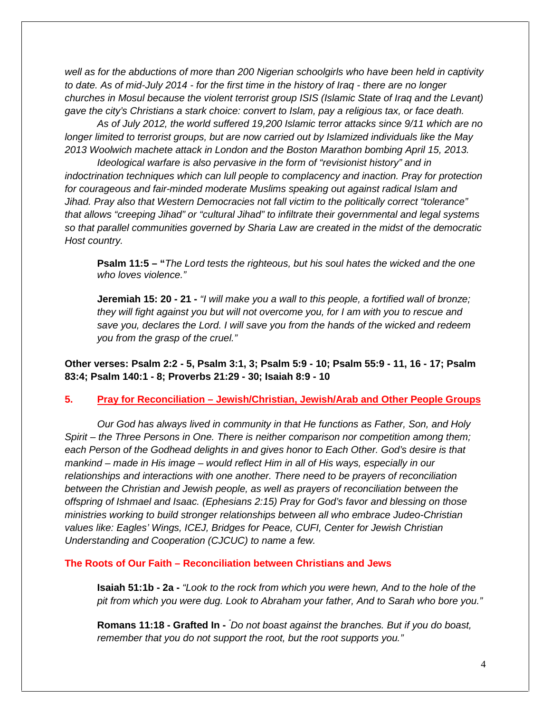*well as for the abductions of more than 200 Nigerian schoolgirls who have been held in captivity to date. As of mid-July 2014 - for the first time in the history of Iraq - there are no longer churches in Mosul because the violent terrorist group ISIS (Islamic State of Iraq and the Levant) gave the city's Christians a stark choice: convert to Islam, pay a religious tax, or face death.*

*As of July 2012, the world suffered 19,200 Islamic terror attacks since 9/11 which are no* longer limited to terrorist groups, but are now carried out by Islamized individuals like the May *2013 Woolwich machete attack in London and the Boston Marathon bombing April 15, 2013.*

*Ideological warfare is also pervasive in the form of "revisionist history" and in indoctrination techniques which can lull people to complacency and inaction. Pray for protection for courageous and fair-minded moderate Muslims speaking out against radical Islam and Jihad. Pray also that Western Democracies not fall victim to the politically correct "tolerance" that allows "creeping Jihad" or "cultural Jihad" to infiltrate their governmental and legal systems so that parallel communities governed by Sharia Law are created in the midst of the democratic Host country.*

**Psalm 11:5 – "***The Lord tests the righteous, but his soul hates the wicked and the one who loves violence."*

**Jeremiah 15: 20 - 21 -** *"I will make you a wall to this people, a fortified wall of bronze; they will fight against you but will not overcome you, for I am with you to rescue and save you, declares the Lord. I will save you from the hands of the wicked and redeem you from the grasp of the cruel."*

**Other verses: Psalm 2:2 - 5, Psalm 3:1, 3; Psalm 5:9 - 10; Psalm 55:9 - 11, 16 - 17; Psalm 83:4; Psalm 140:1 - 8; Proverbs 21:29 - 30; Isaiah 8:9 - 10**

#### **5. Pray for Reconciliation – Jewish/Christian, Jewish/Arab and Other People Groups**

*Our God has always lived in community in that He functions as Father, Son, and Holy Spirit – the Three Persons in One. There is neither comparison nor competition among them; each Person of the Godhead delights in and gives honor to Each Other. God's desire is that mankind – made in His image – would reflect Him in all of His ways, especially in our relationships and interactions with one another. There need to be prayers of reconciliation between the Christian and Jewish people, as well as prayers of reconciliation between the offspring of Ishmael and Isaac. (Ephesians 2:15) Pray for God's favor and blessing on those ministries working to build stronger relationships between all who embrace Judeo-Christian values like: Eagles' Wings, ICEJ, Bridges for Peace, CUFI, Center for Jewish Christian Understanding and Cooperation (CJCUC) to name a few.*

#### **The Roots of Our Faith – Reconciliation between Christians and Jews**

**Isaiah 51:1b - 2a -** *"Look to the rock from which you were hewn, And to the hole of the pit from which you were dug. Look to Abraham your father, And to Sarah who bore you."*

**Romans 11:18 - Grafted In -** *"Do not boast against the branches. But if you do boast, remember that you do not support the root, but the root supports you."*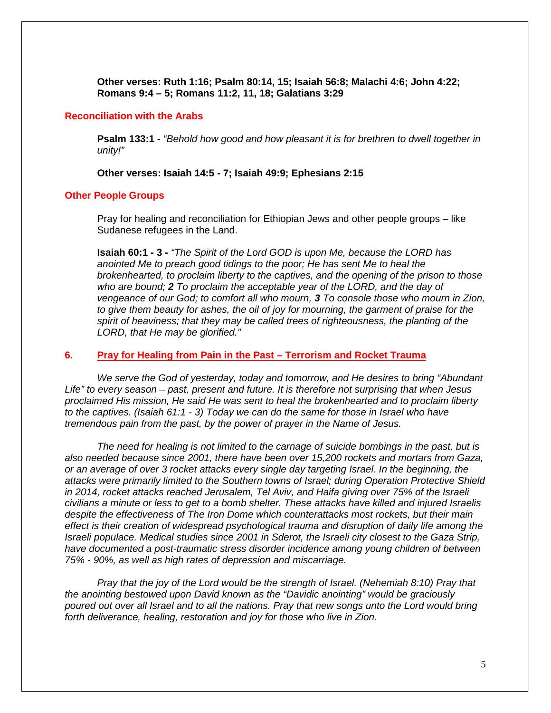**Other verses: Ruth 1:16; Psalm 80:14, 15; Isaiah 56:8; Malachi 4:6; John 4:22; Romans 9:4 – 5; Romans 11:2, 11, 18; Galatians 3:29**

#### **Reconciliation with the Arabs**

**Psalm 133:1 -** *"Behold how good and how pleasant it is for brethren to dwell together in unity!"*

**Other verses: Isaiah 14:5 - 7; Isaiah 49:9; Ephesians 2:15**

#### **Other People Groups**

Pray for healing and reconciliation for Ethiopian Jews and other people groups – like Sudanese refugees in the Land.

**Isaiah 60:1 - 3 -** *"The Spirit of the Lord GOD is upon Me, because the LORD has anointed Me to preach good tidings to the poor; He has sent Me to heal the brokenhearted, to proclaim liberty to the captives, and the opening of the prison to those who are bound; 2 To proclaim the acceptable year of the LORD, and the day of vengeance of our God; to comfort all who mourn, 3 To console those who mourn in Zion, to give them beauty for ashes, the oil of joy for mourning, the garment of praise for the spirit of heaviness; that they may be called trees of righteousness, the planting of the LORD, that He may be glorified."*

#### **6. Pray for Healing from Pain in the Past – Terrorism and Rocket Trauma**

*We serve the God of yesterday, today and tomorrow, and He desires to bring "Abundant Life" to every season – past, present and future. It is therefore not surprising that when Jesus proclaimed His mission, He said He was sent to heal the brokenhearted and to proclaim liberty to the captives. (Isaiah 61:1 - 3) Today we can do the same for those in Israel who have tremendous pain from the past, by the power of prayer in the Name of Jesus.*

*The need for healing is not limited to the carnage of suicide bombings in the past, but is also needed because since 2001, there have been over 15,200 rockets and mortars from Gaza, or an average of over 3 rocket attacks every single day targeting Israel. In the beginning, the attacks were primarily limited to the Southern towns of Israel; during Operation Protective Shield in 2014, rocket attacks reached Jerusalem, Tel Aviv, and Haifa giving over 75% of the Israeli civilians a minute or less to get to a bomb shelter. These attacks have killed and injured Israelis despite the effectiveness of The Iron Dome which counterattacks most rockets, but their main effect is their creation of widespread psychological trauma and disruption of daily life among the Israeli populace. Medical studies since 2001 in Sderot, the Israeli city closest to the Gaza Strip, have documented a post-traumatic stress disorder incidence among young children of between 75% - 90%, as well as high rates of depression and miscarriage.*

*Pray that the joy of the Lord would be the strength of Israel. (Nehemiah 8:10) Pray that the anointing bestowed upon David known as the "Davidic anointing" would be graciously poured out over all Israel and to all the nations. Pray that new songs unto the Lord would bring forth deliverance, healing, restoration and joy for those who live in Zion.*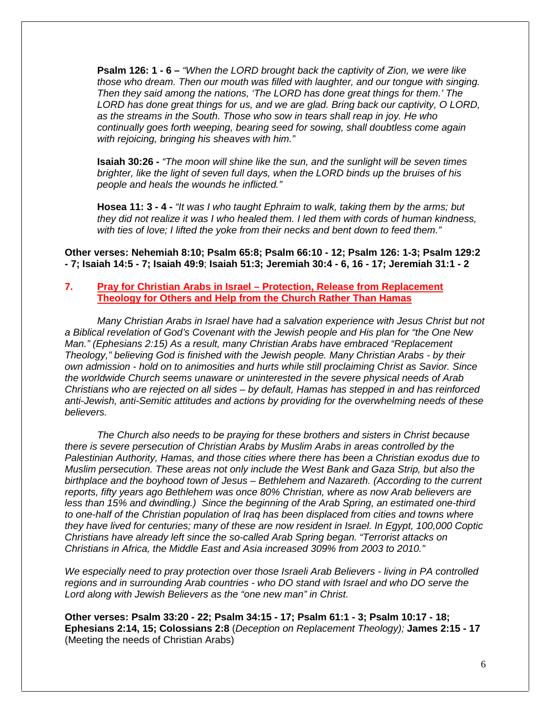**Psalm 126: 1 - 6 –** *"When the LORD brought back the captivity of Zion, we were like those who dream. Then our mouth was filled with laughter, and our tongue with singing. Then they said among the nations, 'The LORD has done great things for them.' The LORD has done great things for us, and we are glad. Bring back our captivity, O LORD, as the streams in the South. Those who sow in tears shall reap in joy. He who continually goes forth weeping, bearing seed for sowing, shall doubtless come again with rejoicing, bringing his sheaves with him."*

**Isaiah 30:26 -** *"The moon will shine like the sun, and the sunlight will be seven times brighter, like the light of seven full days, when the LORD binds up the bruises of his people and heals the wounds he inflicted."*

**Hosea 11: 3 - 4 -** *"It was I who taught Ephraim to walk, taking them by the arms; but they did not realize it was I who healed them. I led them with cords of human kindness, with ties of love; I lifted the yoke from their necks and bent down to feed them."*

**Other verses: Nehemiah 8:10; Psalm 65:8; Psalm 66:10 - 12; Psalm 126: 1-3; Psalm 129:2 - 7; Isaiah 14:5 - 7; Isaiah 49:9**; **Isaiah 51:3; Jeremiah 30:4 - 6, 16 - 17; Jeremiah 31:1 - 2**

#### **7. Pray for Christian Arabs in Israel – Protection, Release from Replacement Theology for Others and Help from the Church Rather Than Hamas**

*Many Christian Arabs in Israel have had a salvation experience with Jesus Christ but not a Biblical revelation of God's Covenant with the Jewish people and His plan for "the One New Man." (Ephesians 2:15) As a result, many Christian Arabs have embraced "Replacement Theology," believing God is finished with the Jewish people. Many Christian Arabs - by their own admission - hold on to animosities and hurts while still proclaiming Christ as Savior. Since the worldwide Church seems unaware or uninterested in the severe physical needs of Arab Christians who are rejected on all sides – by default, Hamas has stepped in and has reinforced anti-Jewish, anti-Semitic attitudes and actions by providing for the overwhelming needs of these believers.*

*The Church also needs to be praying for these brothers and sisters in Christ because there is severe persecution of Christian Arabs by Muslim Arabs in areas controlled by the Palestinian Authority, Hamas, and those cities where there has been a Christian exodus due to Muslim persecution. These areas not only include the West Bank and Gaza Strip, but also the birthplace and the boyhood town of Jesus – Bethlehem and Nazareth. (According to the current reports, fifty years ago Bethlehem was once 80% Christian, where as now Arab believers are less than 15% and dwindling.) Since the beginning of the Arab Spring, an estimated one-third to one-half of the Christian population of Iraq has been displaced from cities and towns where they have lived for centuries; many of these are now resident in Israel. In Egypt, 100,000 Coptic Christians have already left since the so-called Arab Spring began. "Terrorist attacks on Christians in Africa, the Middle East and Asia increased 309% from 2003 to 2010."*

*We especially need to pray protection over those Israeli Arab Believers - living in PA controlled regions and in surrounding Arab countries - who DO stand with Israel and who DO serve the Lord along with Jewish Believers as the "one new man" in Christ.*

**Other verses: Psalm 33:20 - 22; Psalm 34:15 - 17; Psalm 61:1 - 3; Psalm 10:17 - 18; Ephesians 2:14, 15; Colossians 2:8** (*Deception on Replacement Theology);* **James 2:15 - 17** (Meeting the needs of Christian Arabs)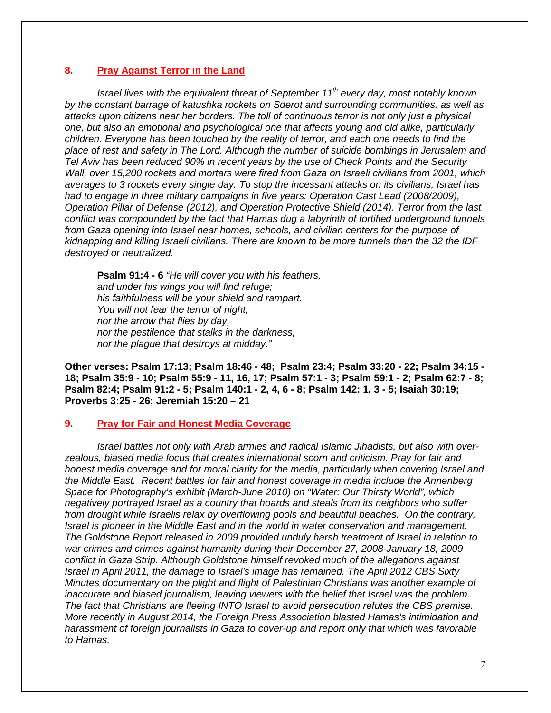#### **8. Pray Against Terror in the Land**

*Israel lives with the equivalent threat of September 11th every day, most notably known by the constant barrage of katushka rockets on Sderot and surrounding communities, as well as attacks upon citizens near her borders. The toll of continuous terror is not only just a physical one, but also an emotional and psychological one that affects young and old alike, particularly children. Everyone has been touched by the reality of terror, and each one needs to find the place of rest and safety in The Lord. Although the number of suicide bombings in Jerusalem and Tel Aviv has been reduced 90% in recent years by the use of Check Points and the Security Wall, over 15,200 rockets and mortars were fired from Gaza on Israeli civilians from 2001, which averages to 3 rockets every single day. To stop the incessant attacks on its civilians, Israel has had to engage in three military campaigns in five years: Operation Cast Lead (2008/2009), Operation Pillar of Defense (2012), and Operation Protective Shield (2014). Terror from the last conflict was compounded by the fact that Hamas dug a labyrinth of fortified underground tunnels from Gaza opening into Israel near homes, schools, and civilian centers for the purpose of kidnapping and killing Israeli civilians. There are known to be more tunnels than the 32 the IDF destroyed or neutralized.*

**Psalm 91:4 - 6** *"He will cover you with his feathers, and under his wings you will find refuge; his faithfulness will be your shield and rampart. You will not fear the terror of night, nor the arrow that flies by day, nor the pestilence that stalks in the darkness, nor the plague that destroys at midday."*

**Other verses: Psalm 17:13; Psalm 18:46 - 48; Psalm 23:4; Psalm 33:20 - 22; Psalm 34:15 - 18; Psalm 35:9 - 10; Psalm 55:9 - 11, 16, 17; Psalm 57:1 - 3; Psalm 59:1 - 2; Psalm 62:7 - 8; Psalm 82:4; Psalm 91:2 - 5; Psalm 140:1 - 2, 4, 6 - 8; Psalm 142: 1, 3 - 5; Isaiah 30:19; Proverbs 3:25 - 26; Jeremiah 15:20 – 21**

#### **9. Pray for Fair and Honest Media Coverage**

*Israel battles not only with Arab armies and radical Islamic Jihadists, but also with over zealous, biased media focus that creates international scorn and criticism. Pray for fair and honest media coverage and for moral clarity for the media, particularly when covering Israel and the Middle East. Recent battles for fair and honest coverage in media include the Annenberg Space for Photography's exhibit (March-June 2010) on "Water: Our Thirsty World", which negatively portrayed Israel as a country that hoards and steals from its neighbors who suffer from drought while Israelis relax by overflowing pools and beautiful beaches. On the contrary, Israel is pioneer in the Middle East and in the world in water conservation and management. The Goldstone Report released in 2009 provided unduly harsh treatment of Israel in relation to war crimes and crimes against humanity during their December 27, 2008-January 18, 2009 conflict in Gaza Strip. Although Goldstone himself revoked much of the allegations against Israel in April 2011, the damage to Israel's image has remained. The April 2012 CBS Sixty Minutes documentary on the plight and flight of Palestinian Christians was another example of inaccurate and biased journalism, leaving viewers with the belief that Israel was the problem. The fact that Christians are fleeing INTO Israel to avoid persecution refutes the CBS premise. More recently in August 2014, the Foreign Press Association blasted Hamas's intimidation and harassment of foreign journalists in Gaza to cover-up and report only that which was favorable to Hamas.*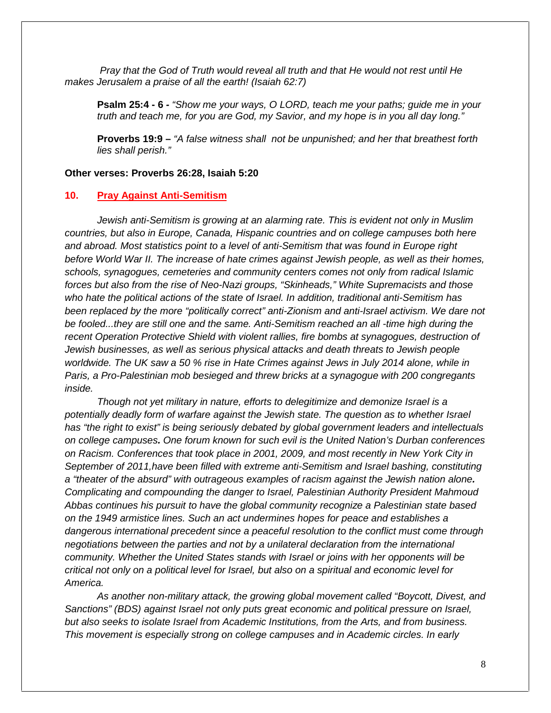*Pray that the God of Truth would reveal all truth and that He would not rest until He makes Jerusalem a praise of all the earth! (Isaiah 62:7)*

**Psalm 25:4 - 6** *- "Show me your ways, O LORD, teach me your paths; guide me in your truth and teach me, for you are God, my Savior, and my hope is in you all day long."*

**Proverbs 19:9 –** *"A false witness shall not be unpunished; and her that breathest forth lies shall perish."*

#### **Other verses: Proverbs 26:28, Isaiah 5:20**

#### **10. Pray Against Anti-Semitism**

*Jewish anti-Semitism is growing at an alarming rate. This is evident not only in Muslim countries, but also in Europe, Canada, Hispanic countries and on college campuses both here and abroad. Most statistics point to a level of anti-Semitism that was found in Europe right before World War II. The increase of hate crimes against Jewish people, as well as their homes, schools, synagogues, cemeteries and community centers comes not only from radical Islamic forces but also from the rise of Neo-Nazi groups, "Skinheads," White Supremacists and those who hate the political actions of the state of Israel. In addition, traditional anti-Semitism has been replaced by the more "politically correct" anti-Zionism and anti-Israel activism. We dare not be fooled...they are still one and the same. Anti-Semitism reached an all -time high during the recent Operation Protective Shield with violent rallies, fire bombs at synagogues, destruction of Jewish businesses, as well as serious physical attacks and death threats to Jewish people worldwide. The UK saw a 50 % rise in Hate Crimes against Jews in July 2014 alone, while in Paris, a Pro-Palestinian mob besieged and threw bricks at a synagogue with 200 congregants inside.*

*Though not yet military in nature, efforts to delegitimize and demonize Israel is a potentially deadly form of warfare against the Jewish state. The question as to whether Israel has "the right to exist" is being seriously debated by global government leaders and intellectuals on college campuses. One forum known for such evil is the United Nation's Durban conferences on Racism. Conferences that took place in 2001, 2009, and most recently in New York City in September of 2011,have been filled with extreme anti-Semitism and Israel bashing, constituting a "theater of the absurd" with outrageous examples of racism against the Jewish nation alone. Complicating and compounding the danger to Israel, Palestinian Authority President Mahmoud Abbas continues his pursuit to have the global community recognize a Palestinian state based on the 1949 armistice lines. Such an act undermines hopes for peace and establishes a dangerous international precedent since a peaceful resolution to the conflict must come through negotiations between the parties and not by a unilateral declaration from the international community. Whether the United States stands with Israel or joins with her opponents will be critical not only on a political level for Israel, but also on a spiritual and economic level for America.*

*As another non-military attack, the growing global movement called "Boycott, Divest, and Sanctions" (BDS) against Israel not only puts great economic and political pressure on Israel, but also seeks to isolate Israel from Academic Institutions, from the Arts, and from business. This movement is especially strong on college campuses and in Academic circles. In early*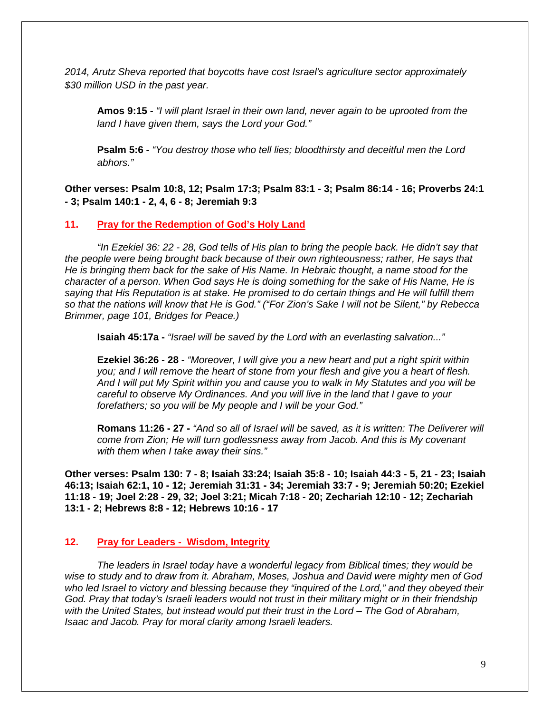*2014, Arutz Sheva reported that boycotts have cost Israel's agriculture sector approximately \$30 million USD in the past year.*

**Amos 9:15 -** *"I will plant Israel in their own land, never again to be uprooted from the land I have given them, says the Lord your God."*

**Psalm 5:6 -** *"You destroy those who tell lies; bloodthirsty and deceitful men the Lord abhors."*

**Other verses: Psalm 10:8, 12; Psalm 17:3; Psalm 83:1 - 3; Psalm 86:14 - 16; Proverbs 24:1 - 3; Psalm 140:1 - 2, 4, 6 - 8; Jeremiah 9:3**

#### **11. Pray for the Redemption of God's Holy Land**

*"In Ezekiel 36: 22 - 28, God tells of His plan to bring the people back. He didn't say that the people were being brought back because of their own righteousness; rather, He says that He is bringing them back for the sake of His Name. In Hebraic thought, a name stood for the character of a person. When God says He is doing something for the sake of His Name, He is saying that His Reputation is at stake. He promised to do certain things and He will fulfill them so that the nations will know that He is God." ("For Zion's Sake I will not be Silent," by Rebecca Brimmer, page 101, Bridges for Peace.)*

**Isaiah 45:17a -** *"Israel will be saved by the Lord with an everlasting salvation..."*

**Ezekiel 36:26 - 28 -** *"Moreover, I will give you a new heart and put a right spirit within you; and I will remove the heart of stone from your flesh and give you a heart of flesh. And I will put My Spirit within you and cause you to walk in My Statutes and you will be careful to observe My Ordinances. And you will live in the land that I gave to your forefathers; so you will be My people and I will be your God."*

**Romans 11:26 - 27 -** *"And so all of Israel will be saved, as it is written: The Deliverer will come from Zion; He will turn godlessness away from Jacob. And this is My covenant with them when I take away their sins."*

**Other verses: Psalm 130: 7 - 8; Isaiah 33:24; Isaiah 35:8 - 10; Isaiah 44:3 - 5, 21 - 23; Isaiah 46:13; Isaiah 62:1, 10 - 12; Jeremiah 31:31 - 34; Jeremiah 33:7 - 9; Jeremiah 50:20; Ezekiel 11:18 - 19; Joel 2:28 - 29, 32; Joel 3:21; Micah 7:18 - 20; Zechariah 12:10 - 12; Zechariah 13:1 - 2; Hebrews 8:8 - 12; Hebrews 10:16 - 17**

#### **12. Pray for Leaders - Wisdom, Integrity**

*The leaders in Israel today have a wonderful legacy from Biblical times; they would be wise to study and to draw from it. Abraham, Moses, Joshua and David were mighty men of God who led Israel to victory and blessing because they "inquired of the Lord," and they obeyed their God. Pray that today's Israeli leaders would not trust in their military might or in their friendship with the United States, but instead would put their trust in the Lord – The God of Abraham, Isaac and Jacob. Pray for moral clarity among Israeli leaders.*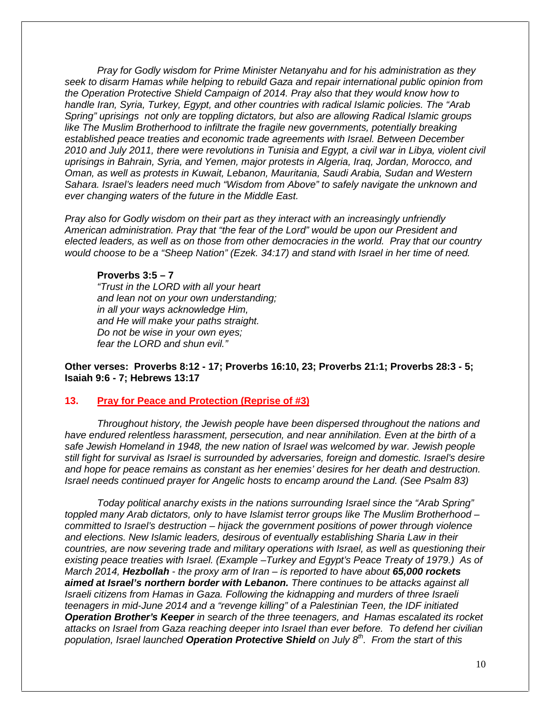*Pray for Godly wisdom for Prime Minister Netanyahu and for his administration as they seek to disarm Hamas while helping to rebuild Gaza and repair international public opinion from the Operation Protective Shield Campaign of 2014. Pray also that they would know how to handle Iran, Syria, Turkey, Egypt, and other countries with radical Islamic policies. The "Arab Spring" uprisings not only are toppling dictators, but also are allowing Radical Islamic groups like The Muslim Brotherhood to infiltrate the fragile new governments, potentially breaking established peace treaties and economic trade agreements with Israel. Between December 2010 and July 2011, there were revolutions in Tunisia and Egypt, a civil war in Libya, violent civil uprisings in Bahrain, Syria, and Yemen, major protests in Algeria, Iraq, Jordan, Morocco, and Oman, as well as protests in Kuwait, Lebanon, Mauritania, Saudi Arabia, Sudan and Western Sahara. Israel's leaders need much "Wisdom from Above" to safely navigate the unknown and ever changing waters of the future in the Middle East.*

*Pray also for Godly wisdom on their part as they interact with an increasingly unfriendly American administration. Pray that "the fear of the Lord" would be upon our President and elected leaders, as well as on those from other democracies in the world. Pray that our country would choose to be a "Sheep Nation" (Ezek. 34:17) and stand with Israel in her time of need.*

#### **Proverbs 3:5 – 7**

*"Trust in the LORD with all your heart and lean not on your own understanding; in all your ways acknowledge Him, and He will make your paths straight. Do not be wise in your own eyes; fear the LORD and shun evil."*

**Other verses: Proverbs 8:12 - 17; Proverbs 16:10, 23; Proverbs 21:1; Proverbs 28:3 - 5; Isaiah 9:6 - 7; Hebrews 13:17**

#### **13. Pray for Peace and Protection (Reprise of #3)**

*Throughout history, the Jewish people have been dispersed throughout the nations and have endured relentless harassment, persecution, and near annihilation. Even at the birth of a safe Jewish Homeland in 1948, the new nation of Israel was welcomed by war. Jewish people still fight for survival as Israel is surrounded by adversaries, foreign and domestic. Israel's desire and hope for peace remains as constant as her enemies' desires for her death and destruction. Israel needs continued prayer for Angelic hosts to encamp around the Land. (See Psalm 83)*

*Today political anarchy exists in the nations surrounding Israel since the "Arab Spring" toppled many Arab dictators, only to have Islamist terror groups like The Muslim Brotherhood – committed to Israel's destruction – hijack the government positions of power through violence and elections. New Islamic leaders, desirous of eventually establishing Sharia Law in their countries, are now severing trade and military operations with Israel, as well as questioning their existing peace treaties with Israel. (Example –Turkey and Egypt's Peace Treaty of 1979.) As of March 2014, Hezbollah - the proxy arm of Iran – is reported to have about 65,000 rockets aimed at Israel's northern border with Lebanon. There continues to be attacks against all Israeli citizens from Hamas in Gaza. Following the kidnapping and murders of three Israeli teenagers in mid-June 2014 and a "revenge killing" of a Palestinian Teen, the IDF initiated Operation Brother's Keeper in search of the three teenagers, and Hamas escalated its rocket attacks on Israel from Gaza reaching deeper into Israel than ever before. To defend her civilian population, Israel launched Operation Protective Shield on July 8th. From the start of this*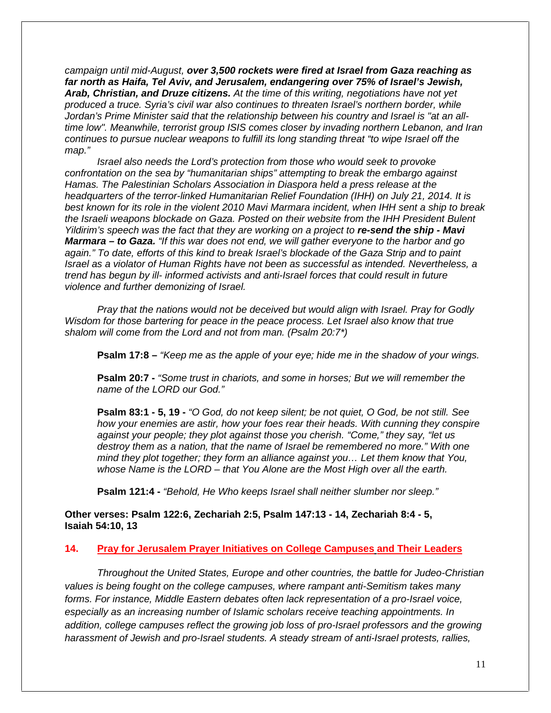*campaign until mid-August, over 3,500 rockets were fired at Israel from Gaza reaching as far north as Haifa, Tel Aviv, and Jerusalem, endangering over 75% of Israel's Jewish, Arab, Christian, and Druze citizens. At the time of this writing, negotiations have not yet produced a truce. Syria's civil war also continues to threaten Israel's northern border, while Jordan's Prime Minister said that the relationship between his country and Israel is "at an alltime low". Meanwhile, terrorist group ISIS comes closer by invading northern Lebanon, and Iran continues to pursue nuclear weapons to fulfill its long standing threat "to wipe Israel off the map."*

*Israel also needs the Lord's protection from those who would seek to provoke confrontation on the sea by "humanitarian ships" attempting to break the embargo against Hamas. The Palestinian Scholars Association in Diaspora held a press release at the headquarters of the terror-linked Humanitarian Relief Foundation (IHH) on July 21, 2014. It is best known for its role in the violent 2010 Mavi Marmara incident, when IHH sent a ship to break the Israeli weapons blockade on Gaza. Posted on their website from the IHH President Bulent Yildirim's speech was the fact that they are working on a project to re-send the ship - Mavi Marmara – to Gaza. "If this war does not end, we will gather everyone to the harbor and go again." To date, efforts of this kind to break Israel's blockade of the Gaza Strip and to paint Israel as a violator of Human Rights have not been as successful as intended. Nevertheless, a trend has begun by ill- informed activists and anti-Israel forces that could result in future violence and further demonizing of Israel.*

*Pray that the nations would not be deceived but would align with Israel. Pray for Godly Wisdom for those bartering for peace in the peace process. Let Israel also know that true shalom will come from the Lord and not from man. (Psalm 20:7\*)*

**Psalm 17:8 –** *"Keep me as the apple of your eye; hide me in the shadow of your wings.*

**Psalm 20:7 -** *"Some trust in chariots, and some in horses; But we will remember the name of the LORD our God."*

**Psalm 83:1 - 5, 19 -** *"O God, do not keep silent; be not quiet, O God, be not still. See how your enemies are astir, how your foes rear their heads. With cunning they conspire against your people; they plot against those you cherish. "Come," they say, "let us destroy them as a nation, that the name of Israel be remembered no more." With one mind they plot together; they form an alliance against you… Let them know that You, whose Name is the LORD – that You Alone are the Most High over all the earth.*

**Psalm 121:4 -** *"Behold, He Who keeps Israel shall neither slumber nor sleep."*

**Other verses: Psalm 122:6, Zechariah 2:5, Psalm 147:13 - 14, Zechariah 8:4 - 5, Isaiah 54:10, 13**

#### **14. Pray for Jerusalem Prayer Initiatives on College Campuses and Their Leaders**

*Throughout the United States, Europe and other countries, the battle for Judeo-Christian values is being fought on the college campuses, where rampant anti-Semitism takes many forms. For instance, Middle Eastern debates often lack representation of a pro-Israel voice, especially as an increasing number of Islamic scholars receive teaching appointments. In addition, college campuses reflect the growing job loss of pro-Israel professors and the growing harassment of Jewish and pro-Israel students. A steady stream of anti-Israel protests, rallies,*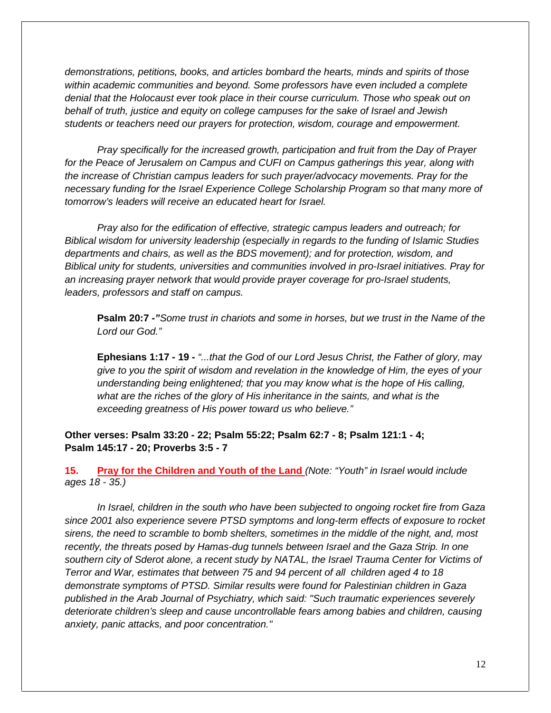*demonstrations, petitions, books, and articles bombard the hearts, minds and spirits of those within academic communities and beyond. Some professors have even included a complete denial that the Holocaust ever took place in their course curriculum. Those who speak out on behalf of truth, justice and equity on college campuses for the sake of Israel and Jewish students or teachers need our prayers for protection, wisdom, courage and empowerment.*

*Pray specifically for the increased growth, participation and fruit from the Day of Prayer for the Peace of Jerusalem on Campus and CUFI on Campus gatherings this year, along with the increase of Christian campus leaders for such prayer/advocacy movements. Pray for the necessary funding for the Israel Experience College Scholarship Program so that many more of tomorrow's leaders will receive an educated heart for Israel.*

*Pray also for the edification of effective, strategic campus leaders and outreach; for Biblical wisdom for university leadership (especially in regards to the funding of Islamic Studies departments and chairs, as well as the BDS movement); and for protection, wisdom, and Biblical unity for students, universities and communities involved in pro-Israel initiatives. Pray for an increasing prayer network that would provide prayer coverage for pro-Israel students, leaders, professors and staff on campus.*

**Psalm 20:7 -***"Some trust in chariots and some in horses, but we trust in the Name of the Lord our God."*

**Ephesians 1:17 - 19 -** *"...that the God of our Lord Jesus Christ, the Father of glory, may give to you the spirit of wisdom and revelation in the knowledge of Him, the eyes of your understanding being enlightened; that you may know what is the hope of His calling, what are the riches of the glory of His inheritance in the saints, and what is the exceeding greatness of His power toward us who believe."*

**Other verses: Psalm 33:20 - 22; Psalm 55:22; Psalm 62:7 - 8; Psalm 121:1 - 4; Psalm 145:17 - 20; Proverbs 3:5 - 7**

**15. Pray for the Children and Youth of the Land** *(Note: "Youth" in Israel would include ages 18 - 35.)*

*In Israel, children in the south who have been subjected to ongoing rocket fire from Gaza since 2001 also experience severe PTSD symptoms and long-term effects of exposure to rocket sirens, the need to scramble to bomb shelters, sometimes in the middle of the night, and, most recently, the threats posed by Hamas-dug tunnels between Israel and the Gaza Strip. In one southern city of Sderot alone, a recent study by NATAL, the Israel Trauma Center for Victims of Terror and War, estimates that between 75 and 94 percent of all children aged 4 to 18 demonstrate symptoms of PTSD. Similar results were found for Palestinian children in Gaza published in the Arab Journal of Psychiatry, which said: "Such traumatic experiences severely deteriorate children's sleep and cause uncontrollable fears among babies and children, causing anxiety, panic attacks, and poor concentration."*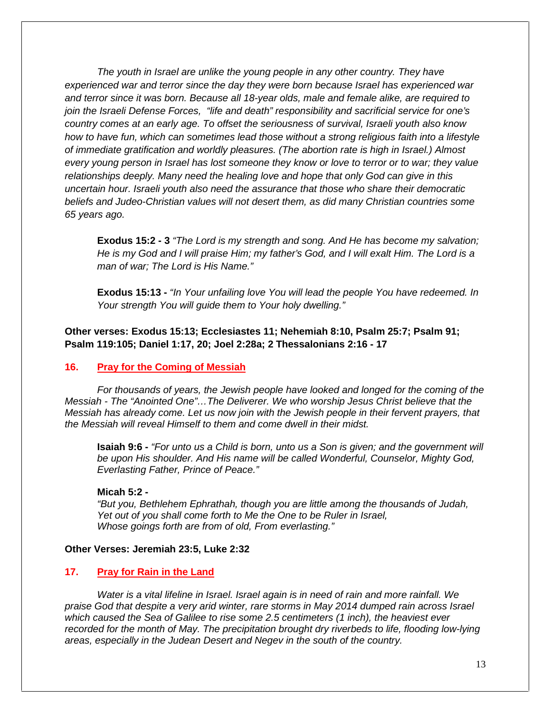*The youth in Israel are unlike the young people in any other country. They have experienced war and terror since the day they were born because Israel has experienced war and terror since it was born. Because all 18-year olds, male and female alike, are required to join the Israeli Defense Forces, "life and death" responsibility and sacrificial service for one's country comes at an early age. To offset the seriousness of survival, Israeli youth also know how to have fun, which can sometimes lead those without a strong religious faith into a lifestyle of immediate gratification and worldly pleasures. (The abortion rate is high in Israel.) Almost every young person in Israel has lost someone they know or love to terror or to war; they value relationships deeply. Many need the healing love and hope that only God can give in this uncertain hour. Israeli youth also need the assurance that those who share their democratic beliefs and Judeo-Christian values will not desert them, as did many Christian countries some 65 years ago.*

**Exodus 15:2 - 3** *"The Lord is my strength and song. And He has become my salvation; He is my God and I will praise Him; my father's God, and I will exalt Him. The Lord is a man of war; The Lord is His Name."*

**Exodus 15:13 -** *"In Your unfailing love You will lead the people You have redeemed. In Your strength You will guide them to Your holy dwelling."*

**Other verses: Exodus 15:13; Ecclesiastes 11; Nehemiah 8:10, Psalm 25:7; Psalm 91; Psalm 119:105; Daniel 1:17, 20; Joel 2:28a; 2 Thessalonians 2:16 - 17**

#### **16. Pray for the Coming of Messiah**

*For thousands of years, the Jewish people have looked and longed for the coming of the Messiah - The "Anointed One"…The Deliverer. We who worship Jesus Christ believe that the Messiah has already come. Let us now join with the Jewish people in their fervent prayers, that the Messiah will reveal Himself to them and come dwell in their midst.*

**Isaiah 9:6 -** *"For unto us a Child is born, unto us a Son is given; and the government will be upon His shoulder. And His name will be called Wonderful, Counselor, Mighty God, Everlasting Father, Prince of Peace."*

#### **Micah 5:2 -**

*"But you, Bethlehem Ephrathah, though you are little among the thousands of Judah, Yet out of you shall come forth to Me the One to be Ruler in Israel, Whose goings forth are from of old, From everlasting."*

#### **Other Verses: Jeremiah 23:5, Luke 2:32**

#### **17. Pray for Rain in the Land**

*Water is a vital lifeline in Israel. Israel again is in need of rain and more rainfall. We praise God that despite a very arid winter, rare storms in May 2014 dumped rain across Israel which caused the Sea of Galilee to rise some 2.5 centimeters (1 inch), the heaviest ever recorded for the month of May. The precipitation brought dry riverbeds to life, flooding low-lying areas, especially in the Judean Desert and Negev in the south of the country.*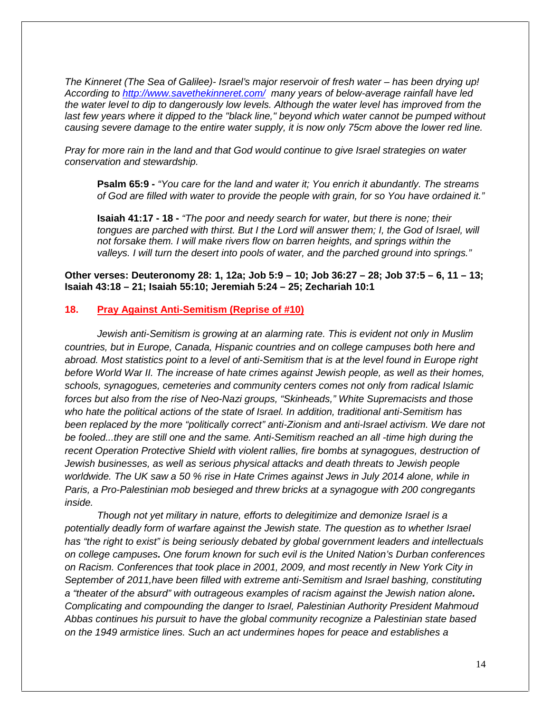*The Kinneret (The Sea of Galilee)- Israel's major reservoir of fresh water – has been drying up! According to http://www.savethekinneret.com/ many years of below-average rainfall have led the water level to dip to dangerously low levels. Although the water level has improved from the last few years where it dipped to the "black line," beyond which water cannot be pumped without causing severe damage to the entire water supply, it is now only 75cm above the lower red line.*

*Pray for more rain in the land and that God would continue to give Israel strategies on water conservation and stewardship.*

**Psalm 65:9 -** *"You care for the land and water it; You enrich it abundantly. The streams of God are filled with water to provide the people with grain, for so You have ordained it."*

**Isaiah 41:17 - 18 -** *"The poor and needy search for water, but there is none; their tongues are parched with thirst. But I the Lord will answer them; I, the God of Israel, will not forsake them. I will make rivers flow on barren heights, and springs within the valleys. I will turn the desert into pools of water, and the parched ground into springs."*

**Other verses: Deuteronomy 28: 1, 12a; Job 5:9 – 10; Job 36:27 – 28; Job 37:5 – 6, 11 – 13; Isaiah 43:18 – 21; Isaiah 55:10; Jeremiah 5:24 – 25; Zechariah 10:1**

#### **18. Pray Against Anti-Semitism (Reprise of #10)**

*Jewish anti-Semitism is growing at an alarming rate. This is evident not only in Muslim countries, but in Europe, Canada, Hispanic countries and on college campuses both here and abroad. Most statistics point to a level of anti-Semitism that is at the level found in Europe right before World War II. The increase of hate crimes against Jewish people, as well as their homes, schools, synagogues, cemeteries and community centers comes not only from radical Islamic forces but also from the rise of Neo-Nazi groups, "Skinheads," White Supremacists and those who hate the political actions of the state of Israel. In addition, traditional anti-Semitism has been replaced by the more "politically correct" anti-Zionism and anti-Israel activism. We dare not be fooled...they are still one and the same. Anti-Semitism reached an all -time high during the recent Operation Protective Shield with violent rallies, fire bombs at synagogues, destruction of Jewish businesses, as well as serious physical attacks and death threats to Jewish people worldwide. The UK saw a 50 % rise in Hate Crimes against Jews in July 2014 alone, while in Paris, a Pro-Palestinian mob besieged and threw bricks at a synagogue with 200 congregants inside.*

*Though not yet military in nature, efforts to delegitimize and demonize Israel is a potentially deadly form of warfare against the Jewish state. The question as to whether Israel has "the right to exist" is being seriously debated by global government leaders and intellectuals on college campuses. One forum known for such evil is the United Nation's Durban conferences on Racism. Conferences that took place in 2001, 2009, and most recently in New York City in September of 2011,have been filled with extreme anti-Semitism and Israel bashing, constituting a "theater of the absurd" with outrageous examples of racism against the Jewish nation alone. Complicating and compounding the danger to Israel, Palestinian Authority President Mahmoud Abbas continues his pursuit to have the global community recognize a Palestinian state based on the 1949 armistice lines. Such an act undermines hopes for peace and establishes a*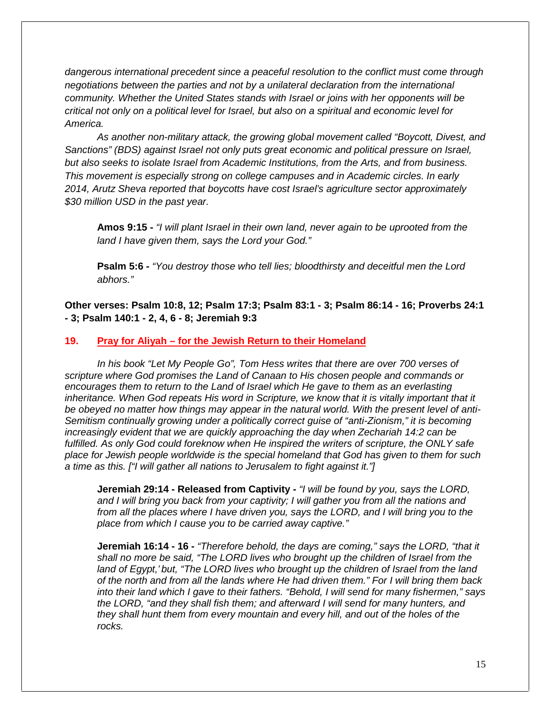*dangerous international precedent since a peaceful resolution to the conflict must come through negotiations between the parties and not by a unilateral declaration from the international community. Whether the United States stands with Israel or joins with her opponents will be critical not only on a political level for Israel, but also on a spiritual and economic level for America.*

*As another non-military attack, the growing global movement called "Boycott, Divest, and Sanctions" (BDS) against Israel not only puts great economic and political pressure on Israel, but also seeks to isolate Israel from Academic Institutions, from the Arts, and from business. This movement is especially strong on college campuses and in Academic circles. In early 2014, Arutz Sheva reported that boycotts have cost Israel's agriculture sector approximately \$30 million USD in the past year.*

**Amos 9:15 -** *"I will plant Israel in their own land, never again to be uprooted from the land I have given them, says the Lord your God."*

**Psalm 5:6 -** *"You destroy those who tell lies; bloodthirsty and deceitful men the Lord abhors."*

**Other verses: Psalm 10:8, 12; Psalm 17:3; Psalm 83:1 - 3; Psalm 86:14 - 16; Proverbs 24:1 - 3; Psalm 140:1 - 2, 4, 6 - 8; Jeremiah 9:3**

#### **19. Pray for Aliyah – for the Jewish Return to their Homeland**

*In his book "Let My People Go", Tom Hess writes that there are over 700 verses of scripture where God promises the Land of Canaan to His chosen people and commands or encourages them to return to the Land of Israel which He gave to them as an everlasting inheritance. When God repeats His word in Scripture, we know that it is vitally important that it be obeyed no matter how things may appear in the natural world. With the present level of anti- Semitism continually growing under a politically correct guise of "anti-Zionism," it is becoming increasingly evident that we are quickly approaching the day when Zechariah 14:2 can be fulfilled. As only God could foreknow when He inspired the writers of scripture, the ONLY safe place for Jewish people worldwide is the special homeland that God has given to them for such a time as this. ["I will gather all nations to Jerusalem to fight against it."]*

**Jeremiah 29:14 - Released from Captivity -** *"I will be found by you, says the LORD, and I will bring you back from your captivity; I will gather you from all the nations and from all the places where I have driven you, says the LORD, and I will bring you to the place from which I cause you to be carried away captive."*

**Jeremiah 16:14 - 16 -** *"Therefore behold, the days are coming," says the LORD, "that it shall no more be said, "The LORD lives who brought up the children of Israel from the land of Egypt,' but, "The LORD lives who brought up the children of Israel from the land of the north and from all the lands where He had driven them." For I will bring them back into their land which I gave to their fathers. "Behold, I will send for many fishermen," says the LORD, "and they shall fish them; and afterward I will send for many hunters, and they shall hunt them from every mountain and every hill, and out of the holes of the rocks.*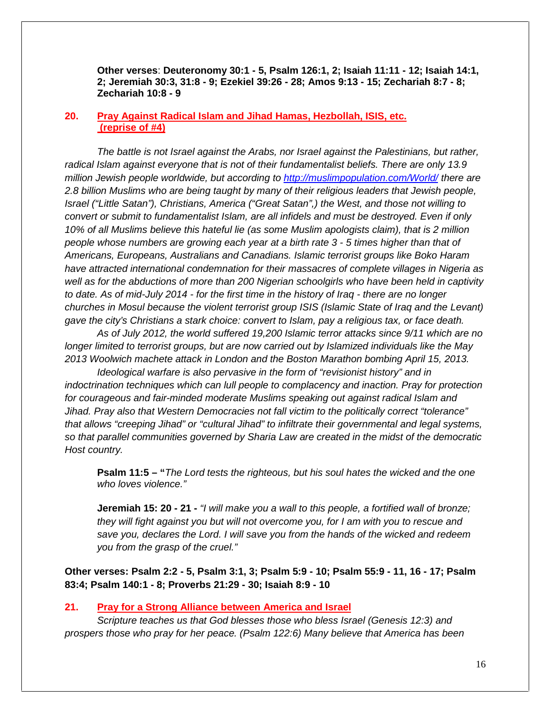**Other verses**: **Deuteronomy 30:1 - 5, Psalm 126:1, 2; Isaiah 11:11 - 12; Isaiah 14:1, 2; Jeremiah 30:3, 31:8 - 9; Ezekiel 39:26 - 28; Amos 9:13 - 15; Zechariah 8:7 - 8; Zechariah 10:8 - 9**

#### **20. Pray Against Radical Islam and Jihad Hamas, Hezbollah, ISIS, etc. (reprise of #4)**

*The battle is not Israel against the Arabs, nor Israel against the Palestinians, but rather, radical Islam against everyone that is not of their fundamentalist beliefs. There are only 13.9 million Jewish people worldwide, but according to http://muslimpopulation.com/World/ there are 2.8 billion Muslims who are being taught by many of their religious leaders that Jewish people, Israel ("Little Satan"), Christians, America ("Great Satan",) the West, and those not willing to convert or submit to fundamentalist Islam, are all infidels and must be destroyed. Even if only 10% of all Muslims believe this hateful lie (as some Muslim apologists claim), that is 2 million people whose numbers are growing each year at a birth rate 3 - 5 times higher than that of Americans, Europeans, Australians and Canadians. Islamic terrorist groups like Boko Haram have attracted international condemnation for their massacres of complete villages in Nigeria as well as for the abductions of more than 200 Nigerian schoolgirls who have been held in captivity to date. As of mid-July 2014 - for the first time in the history of Iraq - there are no longer churches in Mosul because the violent terrorist group ISIS (Islamic State of Iraq and the Levant) gave the city's Christians a stark choice: convert to Islam, pay a religious tax, or face death.*

*As of July 2012, the world suffered 19,200 Islamic terror attacks since 9/11 which are no longer limited to terrorist groups, but are now carried out by Islamized individuals like the May 2013 Woolwich machete attack in London and the Boston Marathon bombing April 15, 2013.*

*Ideological warfare is also pervasive in the form of "revisionist history" and in indoctrination techniques which can lull people to complacency and inaction. Pray for protection for courageous and fair-minded moderate Muslims speaking out against radical Islam and Jihad. Pray also that Western Democracies not fall victim to the politically correct "tolerance" that allows "creeping Jihad" or "cultural Jihad" to infiltrate their governmental and legal systems, so that parallel communities governed by Sharia Law are created in the midst of the democratic Host country.*

**Psalm 11:5 – "***The Lord tests the righteous, but his soul hates the wicked and the one who loves violence."*

**Jeremiah 15: 20 - 21 -** *"I will make you a wall to this people, a fortified wall of bronze; they will fight against you but will not overcome you, for I am with you to rescue and save you, declares the Lord. I will save you from the hands of the wicked and redeem you from the grasp of the cruel."*

**Other verses: Psalm 2:2 - 5, Psalm 3:1, 3; Psalm 5:9 - 10; Psalm 55:9 - 11, 16 - 17; Psalm 83:4; Psalm 140:1 - 8; Proverbs 21:29 - 30; Isaiah 8:9 - 10**

#### **21. Pray for a Strong Alliance between America and Israel**

*Scripture teaches us that God blesses those who bless Israel (Genesis 12:3) and prospers those who pray for her peace. (Psalm 122:6) Many believe that America has been*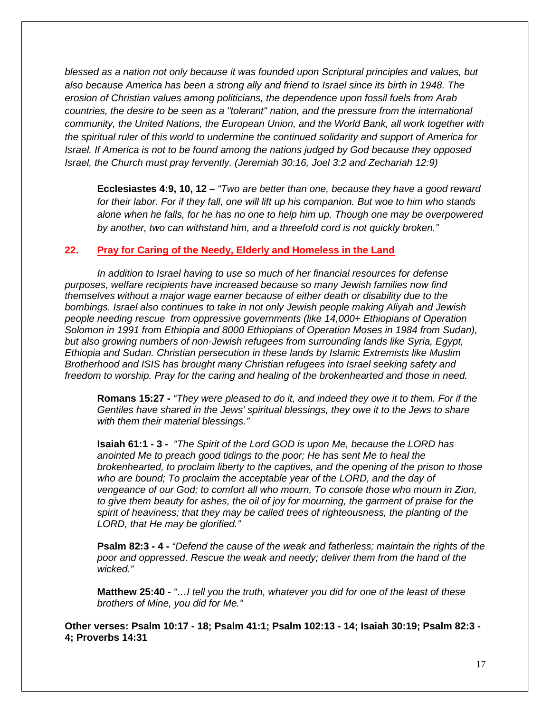*blessed as a nation not only because it was founded upon Scriptural principles and values, but also because America has been a strong ally and friend to Israel since its birth in 1948. The erosion of Christian values among politicians, the dependence upon fossil fuels from Arab countries, the desire to be seen as a "tolerant" nation, and the pressure from the international community, the United Nations, the European Union, and the World Bank, all work together with the spiritual ruler of this world to undermine the continued solidarity and support of America for Israel. If America is not to be found among the nations judged by God because they opposed Israel, the Church must pray fervently. (Jeremiah 30:16, Joel 3:2 and Zechariah 12:9)*

**Ecclesiastes 4:9, 10, 12 –** *"Two are better than one, because they have a good reward for their labor. For if they fall, one will lift up his companion. But woe to him who stands alone when he falls, for he has no one to help him up. Though one may be overpowered by another, two can withstand him, and a threefold cord is not quickly broken."*

#### **22. Pray for Caring of the Needy, Elderly and Homeless in the Land**

*In addition to Israel having to use so much of her financial resources for defense purposes, welfare recipients have increased because so many Jewish families now find themselves without a major wage earner because of either death or disability due to the bombings. Israel also continues to take in not only Jewish people making Aliyah and Jewish people needing rescue from oppressive governments (like 14,000+ Ethiopians of Operation Solomon in 1991 from Ethiopia and 8000 Ethiopians of Operation Moses in 1984 from Sudan), but also growing numbers of non-Jewish refugees from surrounding lands like Syria, Egypt, Ethiopia and Sudan. Christian persecution in these lands by Islamic Extremists like Muslim Brotherhood and ISIS has brought many Christian refugees into Israel seeking safety and freedom to worship. Pray for the caring and healing of the brokenhearted and those in need.*

**Romans 15:27 -** *"They were pleased to do it, and indeed they owe it to them. For if the Gentiles have shared in the Jews' spiritual blessings, they owe it to the Jews to share with them their material blessings."*

**Isaiah 61:1 - 3 -** *"The Spirit of the Lord GOD is upon Me, because the LORD has anointed Me to preach good tidings to the poor; He has sent Me to heal the brokenhearted, to proclaim liberty to the captives, and the opening of the prison to those who are bound; To proclaim the acceptable year of the LORD, and the day of vengeance of our God; to comfort all who mourn, To console those who mourn in Zion, to give them beauty for ashes, the oil of joy for mourning, the garment of praise for the spirit of heaviness; that they may be called trees of righteousness, the planting of the LORD, that He may be glorified."*

**Psalm 82:3 - 4 -** *"Defend the cause of the weak and fatherless; maintain the rights of the poor and oppressed. Rescue the weak and needy; deliver them from the hand of the wicked."*

**Matthew 25:40 -** *"…I tell you the truth, whatever you did for one of the least of these brothers of Mine, you did for Me."*

**Other verses: Psalm 10:17 - 18; Psalm 41:1; Psalm 102:13 - 14; Isaiah 30:19; Psalm 82:3 - 4; Proverbs 14:31**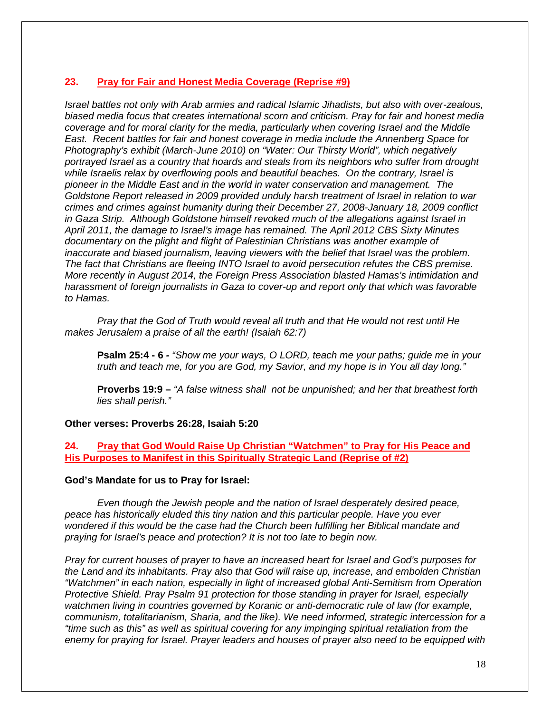### **23. Pray for Fair and Honest Media Coverage (Reprise #9)**

*Israel battles not only with Arab armies and radical Islamic Jihadists, but also with over-zealous, biased media focus that creates international scorn and criticism. Pray for fair and honest media coverage and for moral clarity for the media, particularly when covering Israel and the Middle East. Recent battles for fair and honest coverage in media include the Annenberg Space for Photography's exhibit (March-June 2010) on "Water: Our Thirsty World", which negatively portrayed Israel as a country that hoards and steals from its neighbors who suffer from drought while Israelis relax by overflowing pools and beautiful beaches. On the contrary, Israel is pioneer in the Middle East and in the world in water conservation and management. The Goldstone Report released in 2009 provided unduly harsh treatment of Israel in relation to war crimes and crimes against humanity during their December 27, 2008-January 18, 2009 conflict in Gaza Strip. Although Goldstone himself revoked much of the allegations against Israel in April 2011, the damage to Israel's image has remained. The April 2012 CBS Sixty Minutes documentary on the plight and flight of Palestinian Christians was another example of inaccurate and biased journalism, leaving viewers with the belief that Israel was the problem. The fact that Christians are fleeing INTO Israel to avoid persecution refutes the CBS premise. More recently in August 2014, the Foreign Press Association blasted Hamas's intimidation and harassment of foreign journalists in Gaza to cover-up and report only that which was favorable to Hamas.*

*Pray that the God of Truth would reveal all truth and that He would not rest until He makes Jerusalem a praise of all the earth! (Isaiah 62:7)*

**Psalm 25:4 - 6** *- "Show me your ways, O LORD, teach me your paths; guide me in your truth and teach me, for you are God, my Savior, and my hope is in You all day long."*

**Proverbs 19:9 –** *"A false witness shall not be unpunished; and her that breathest forth lies shall perish."*

#### **Other verses: Proverbs 26:28, Isaiah 5:20**

**24. Pray that God Would Raise Up Christian "Watchmen" to Pray for His Peace and His Purposes to Manifest in this Spiritually Strategic Land (Reprise of #2)**

#### **God's Mandate for us to Pray for Israel:**

*Even though the Jewish people and the nation of Israel desperately desired peace, peace has historically eluded this tiny nation and this particular people. Have you ever wondered if this would be the case had the Church been fulfilling her Biblical mandate and praying for Israel's peace and protection? It is not too late to begin now.*

*Pray for current houses of prayer to have an increased heart for Israel and God's purposes for the Land and its inhabitants. Pray also that God will raise up, increase, and embolden Christian "Watchmen" in each nation, especially in light of increased global Anti-Semitism from Operation Protective Shield. Pray Psalm 91 protection for those standing in prayer for Israel, especially watchmen living in countries governed by Koranic or anti-democratic rule of law (for example, communism, totalitarianism, Sharia, and the like). We need informed, strategic intercession for a "time such as this" as well as spiritual covering for any impinging spiritual retaliation from the enemy for praying for Israel. Prayer leaders and houses of prayer also need to be equipped with*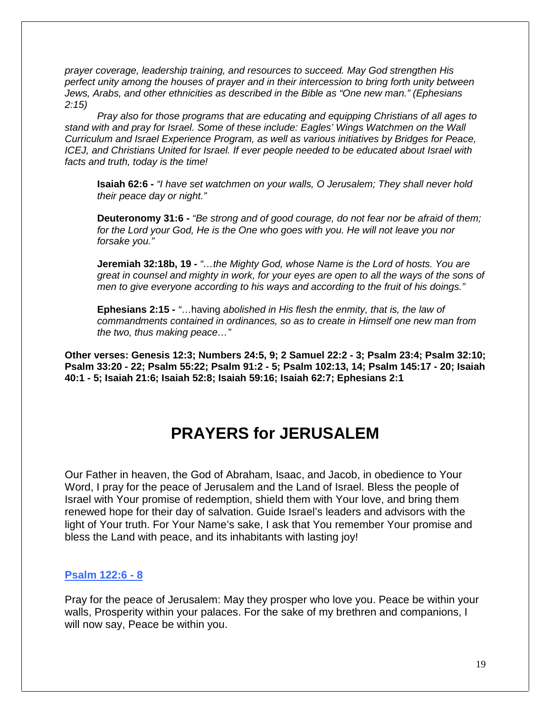*prayer coverage, leadership training, and resources to succeed. May God strengthen His perfect unity among the houses of prayer and in their intercession to bring forth unity between Jews, Arabs, and other ethnicities as described in the Bible as "One new man." (Ephesians 2:15)*

*Pray also for those programs that are educating and equipping Christians of all ages to stand with and pray for Israel. Some of these include: Eagles' Wings Watchmen on the Wall Curriculum and Israel Experience Program, as well as various initiatives by Bridges for Peace, ICEJ, and Christians United for Israel. If ever people needed to be educated about Israel with facts and truth, today is the time!*

**Isaiah 62:6 -** *"I have set watchmen on your walls, O Jerusalem; They shall never hold their peace day or night."*

**Deuteronomy 31:6 -** *"Be strong and of good courage, do not fear nor be afraid of them; for the Lord your God, He is the One who goes with you. He will not leave you nor forsake you."*

**Jeremiah 32:18b, 19 -** *"…the Mighty God, whose Name is the Lord of hosts. You are great in counsel and mighty in work, for your eyes are open to all the ways of the sons of men to give everyone according to his ways and according to the fruit of his doings."*

**Ephesians 2:15 -** *"*…having *abolished in His flesh the enmity, that is, the law of commandments contained in ordinances, so as to create in Himself one new man from the two, thus making peace…"*

**Other verses: Genesis 12:3; Numbers 24:5, 9; 2 Samuel 22:2 - 3; Psalm 23:4; Psalm 32:10; Psalm 33:20 - 22; Psalm 55:22; Psalm 91:2 - 5; Psalm 102:13, 14; Psalm 145:17 - 20; Isaiah 40:1 - 5; Isaiah 21:6; Isaiah 52:8; Isaiah 59:16; Isaiah 62:7; Ephesians 2:1**

## **PRAYERS for JERUSALEM**

Our Father in heaven, the God of Abraham, Isaac, and Jacob, in obedience to Your Word, I pray for the peace of Jerusalem and the Land of Israel. Bless the people of Israel with Your promise of redemption, shield them with Your love, and bring them renewed hope for their day of salvation. Guide Israel's leaders and advisors with the light of Your truth. For Your Name's sake, I ask that You remember Your promise and bless the Land with peace, and its inhabitants with lasting joy!

#### **Psalm 122:6 - 8**

Pray for the peace of Jerusalem: May they prosper who love you. Peace be within your walls, Prosperity within your palaces. For the sake of my brethren and companions, I will now say, Peace be within you.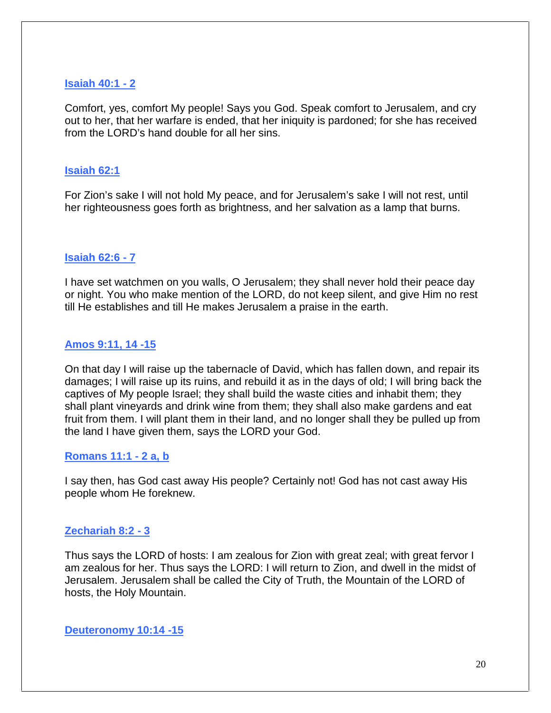## **Isaiah 40:1 - 2**

Comfort, yes, comfort My people! Says you God. Speak comfort to Jerusalem, and cry out to her, that her warfare is ended, that her iniquity is pardoned; for she has received from the LORD's hand double for all her sins.

## **Isaiah 62:1**

For Zion's sake I will not hold My peace, and for Jerusalem's sake I will not rest, until her righteousness goes forth as brightness, and her salvation as a lamp that burns.

## **Isaiah 62:6 - 7**

I have set watchmen on you walls, O Jerusalem; they shall never hold their peace day or night. You who make mention of the LORD, do not keep silent, and give Him no rest till He establishes and till He makes Jerusalem a praise in the earth.

## **Amos 9:11, 14 -15**

On that day I will raise up the tabernacle of David, which has fallen down, and repair its damages; I will raise up its ruins, and rebuild it as in the days of old; I will bring back the captives of My people Israel; they shall build the waste cities and inhabit them; they shall plant vineyards and drink wine from them; they shall also make gardens and eat fruit from them. I will plant them in their land, and no longer shall they be pulled up from the land I have given them, says the LORD your God.

## **Romans 11:1 - 2 a, b**

I say then, has God cast away His people? Certainly not! God has not cast away His people whom He foreknew.

## **Zechariah 8:2 - 3**

Thus says the LORD of hosts: I am zealous for Zion with great zeal; with great fervor I am zealous for her. Thus says the LORD: I will return to Zion, and dwell in the midst of Jerusalem. Jerusalem shall be called the City of Truth, the Mountain of the LORD of hosts, the Holy Mountain.

**Deuteronomy 10:14 -15**